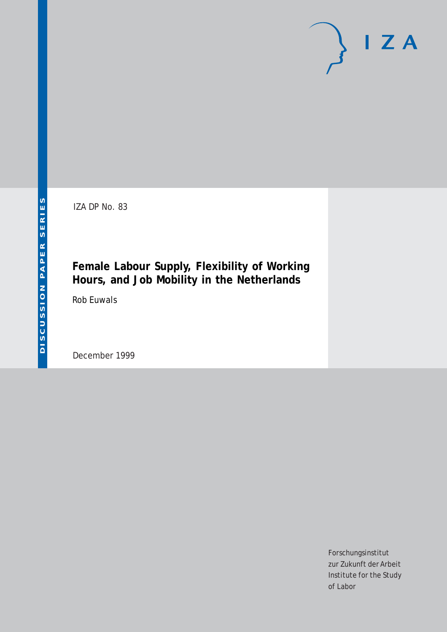# $I Z A$

IZA DP No. 83

# **Female Labour Supply, Flexibility of Working Hours, and Job Mobility in the Netherlands**

Rob Euwals

December 1999

Forschungsinstitut zur Zukunft der Arbeit Institute for the Study of Labor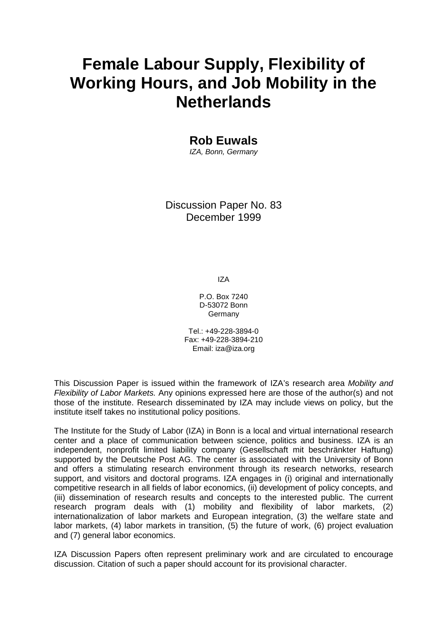# **Female Labour Supply, Flexibility of Working Hours, and Job Mobility in the Netherlands**

**Rob Euwals** 

IZA, Bonn, Germany

Discussion Paper No. 83 December 1999

IZA

P.O. Box 7240 D-53072 Bonn Germany

Tel.: +49-228-3894-0 Fax: +49-228-3894-210 Email: iza@iza.org

This Discussion Paper is issued within the framework of IZA's research area Mobility and Flexibility of Labor Markets. Any opinions expressed here are those of the author(s) and not those of the institute. Research disseminated by IZA may include views on policy, but the institute itself takes no institutional policy positions.

The Institute for the Study of Labor (IZA) in Bonn is a local and virtual international research center and a place of communication between science, politics and business. IZA is an independent, nonprofit limited liability company (Gesellschaft mit beschränkter Haftung) supported by the Deutsche Post AG. The center is associated with the University of Bonn and offers a stimulating research environment through its research networks, research support, and visitors and doctoral programs. IZA engages in (i) original and internationally competitive research in all fields of labor economics, (ii) development of policy concepts, and (iii) dissemination of research results and concepts to the interested public. The current research program deals with (1) mobility and flexibility of labor markets, (2) internationalization of labor markets and European integration, (3) the welfare state and labor markets, (4) labor markets in transition, (5) the future of work, (6) project evaluation and (7) general labor economics.

IZA Discussion Papers often represent preliminary work and are circulated to encourage discussion. Citation of such a paper should account for its provisional character.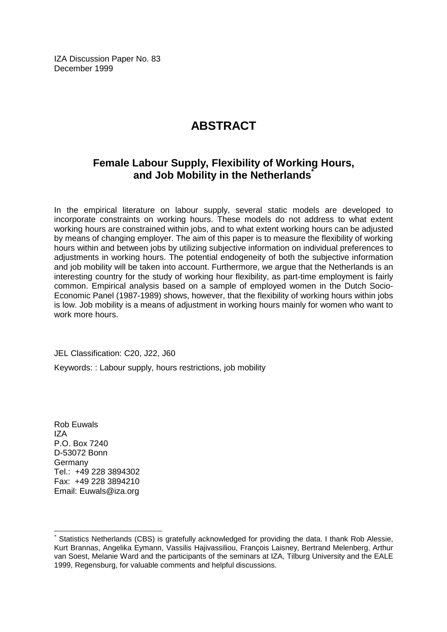IZA Discussion Paper No. 83 December 1999

# **ABSTRACT**

# **Female Labour Supply, Flexibility of Working Hours, and Job Mobility in the Netherlands\***

In the empirical literature on labour supply, several static models are developed to incorporate constraints on working hours. These models do not address to what extent working hours are constrained within jobs, and to what extent working hours can be adjusted by means of changing employer. The aim of this paper is to measure the flexibility of working hours within and between jobs by utilizing subjective information on individual preferences to adjustments in working hours. The potential endogeneity of both the subjective information and job mobility will be taken into account. Furthermore, we argue that the Netherlands is an interesting country for the study of working hour flexibility, as part-time employment is fairly common. Empirical analysis based on a sample of employed women in the Dutch Socio-Economic Panel (1987-1989) shows, however, that the flexibility of working hours within jobs is low. Job mobility is a means of adjustment in working hours mainly for women who want to work more hours.

JEL Classification: C20, J22, J60

Keywords: : Labour supply, hours restrictions, job mobility

Rob Euwals  $IZ\Delta$ P.O. Box 7240 D-53072 Bonn Germany Tel.: +49 228 3894302 Fax: +49 228 3894210 Email: Euwals@iza.org

 $\overline{a}$ 

Statistics Netherlands (CBS) is gratefully acknowledged for providing the data. I thank Rob Alessie, Kurt Brannas, Angelika Eymann, Vassilis Hajivassiliou, François Laisney, Bertrand Melenberg, Arthur van Soest, Melanie Ward and the participants of the seminars at IZA, Tilburg University and the EALE 1999, Regensburg, for valuable comments and helpful discussions.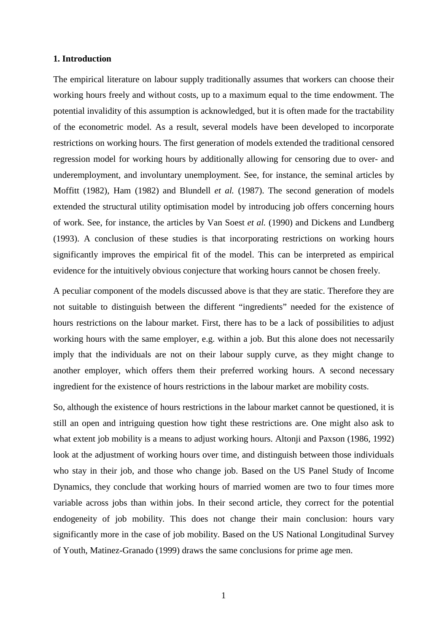# **1. Introduction**

The empirical literature on labour supply traditionally assumes that workers can choose their working hours freely and without costs, up to a maximum equal to the time endowment. The potential invalidity of this assumption is acknowledged, but it is often made for the tractability of the econometric model. As a result, several models have been developed to incorporate restrictions on working hours. The first generation of models extended the traditional censored regression model for working hours by additionally allowing for censoring due to over- and underemployment, and involuntary unemployment. See, for instance, the seminal articles by Moffitt (1982), Ham (1982) and Blundell *et al.* (1987). The second generation of models extended the structural utility optimisation model by introducing job offers concerning hours of work. See, for instance, the articles by Van Soest *et al.* (1990) and Dickens and Lundberg (1993). A conclusion of these studies is that incorporating restrictions on working hours significantly improves the empirical fit of the model. This can be interpreted as empirical evidence for the intuitively obvious conjecture that working hours cannot be chosen freely.

A peculiar component of the models discussed above is that they are static. Therefore they are not suitable to distinguish between the different "ingredients" needed for the existence of hours restrictions on the labour market. First, there has to be a lack of possibilities to adjust working hours with the same employer, e.g. within a job. But this alone does not necessarily imply that the individuals are not on their labour supply curve, as they might change to another employer, which offers them their preferred working hours. A second necessary ingredient for the existence of hours restrictions in the labour market are mobility costs.

So, although the existence of hours restrictions in the labour market cannot be questioned, it is still an open and intriguing question how tight these restrictions are. One might also ask to what extent job mobility is a means to adjust working hours. Altonji and Paxson (1986, 1992) look at the adjustment of working hours over time, and distinguish between those individuals who stay in their job, and those who change job. Based on the US Panel Study of Income Dynamics, they conclude that working hours of married women are two to four times more variable across jobs than within jobs. In their second article, they correct for the potential endogeneity of job mobility. This does not change their main conclusion: hours vary significantly more in the case of job mobility. Based on the US National Longitudinal Survey of Youth, Matinez-Granado (1999) draws the same conclusions for prime age men.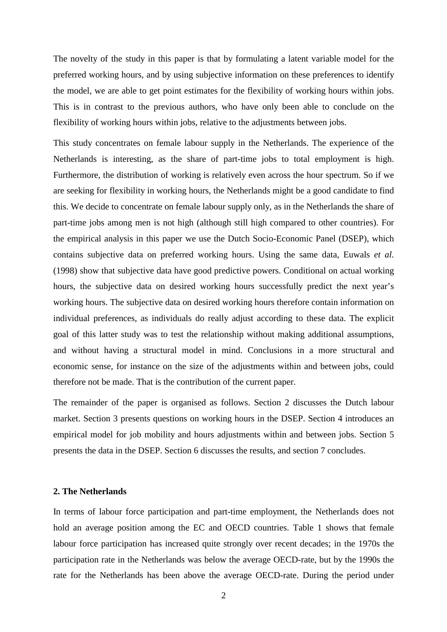The novelty of the study in this paper is that by formulating a latent variable model for the preferred working hours, and by using subjective information on these preferences to identify the model, we are able to get point estimates for the flexibility of working hours within jobs. This is in contrast to the previous authors, who have only been able to conclude on the flexibility of working hours within jobs, relative to the adjustments between jobs.

This study concentrates on female labour supply in the Netherlands. The experience of the Netherlands is interesting, as the share of part-time jobs to total employment is high. Furthermore, the distribution of working is relatively even across the hour spectrum. So if we are seeking for flexibility in working hours, the Netherlands might be a good candidate to find this. We decide to concentrate on female labour supply only, as in the Netherlands the share of part-time jobs among men is not high (although still high compared to other countries). For the empirical analysis in this paper we use the Dutch Socio-Economic Panel (DSEP), which contains subjective data on preferred working hours. Using the same data, Euwals *et al.* (1998) show that subjective data have good predictive powers. Conditional on actual working hours, the subjective data on desired working hours successfully predict the next year's working hours. The subjective data on desired working hours therefore contain information on individual preferences, as individuals do really adjust according to these data. The explicit goal of this latter study was to test the relationship without making additional assumptions, and without having a structural model in mind. Conclusions in a more structural and economic sense, for instance on the size of the adjustments within and between jobs, could therefore not be made. That is the contribution of the current paper.

The remainder of the paper is organised as follows. Section 2 discusses the Dutch labour market. Section 3 presents questions on working hours in the DSEP. Section 4 introduces an empirical model for job mobility and hours adjustments within and between jobs. Section 5 presents the data in the DSEP. Section 6 discusses the results, and section 7 concludes.

# **2. The Netherlands**

In terms of labour force participation and part-time employment, the Netherlands does not hold an average position among the EC and OECD countries. Table 1 shows that female labour force participation has increased quite strongly over recent decades; in the 1970s the participation rate in the Netherlands was below the average OECD-rate, but by the 1990s the rate for the Netherlands has been above the average OECD-rate. During the period under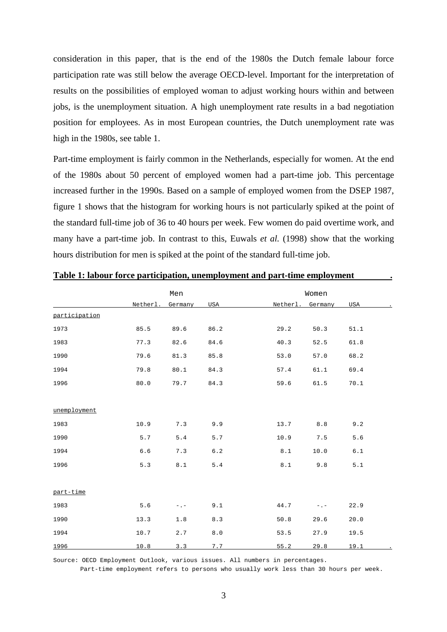consideration in this paper, that is the end of the 1980s the Dutch female labour force participation rate was still below the average OECD-level. Important for the interpretation of results on the possibilities of employed woman to adjust working hours within and between jobs, is the unemployment situation. A high unemployment rate results in a bad negotiation position for employees. As in most European countries, the Dutch unemployment rate was high in the 1980s, see table 1.

Part-time employment is fairly common in the Netherlands, especially for women. At the end of the 1980s about 50 percent of employed women had a part-time job. This percentage increased further in the 1990s. Based on a sample of employed women from the DSEP 1987, figure 1 shows that the histogram for working hours is not particularly spiked at the point of the standard full-time job of 36 to 40 hours per week. Few women do paid overtime work, and many have a part-time job. In contrast to this, Euwals *et al.* (1998) show that the working hours distribution for men is spiked at the point of the standard full-time job.

|               |          | Men       |         | Women                      |       |
|---------------|----------|-----------|---------|----------------------------|-------|
|               | Netherl. | Germany   | USA     | Netherl.<br>Germany<br>USA |       |
| participation |          |           |         |                            |       |
| 1973          | 85.5     | 89.6      | 86.2    | 29.2<br>50.3<br>51.1       |       |
| 1983          | 77.3     | 82.6      | 84.6    | 40.3<br>52.5<br>61.8       |       |
| 1990          | 79.6     | 81.3      | 85.8    | 68.2<br>53.0<br>57.0       |       |
| 1994          | 79.8     | 80.1      | 84.3    | 57.4<br>61.1<br>69.4       |       |
| 1996          | 80.0     | 79.7      | 84.3    | 59.6<br>61.5<br>70.1       |       |
|               |          |           |         |                            |       |
| unemployment  |          |           |         |                            |       |
| 1983          | 10.9     | 7.3       | 9.9     | 13.7<br>$8.8$              | 9.2   |
| 1990          | 5.7      | 5.4       | 5.7     | 10.9<br>7.5                | 5.6   |
| 1994          | $6.6$    | 7.3       | $6.2$   | 8.1<br>10.0                | $6.1$ |
| 1996          | 5.3      | $8.1\,$   | 5.4     | 8.1<br>9.8                 | 5.1   |
|               |          |           |         |                            |       |
| part-time     |          |           |         |                            |       |
| 1983          | 5.6      | $-$ . $-$ | 9.1     | 44.7<br>22.9<br>$-$ . $-$  |       |
| 1990          | 13.3     | 1.8       | 8.3     | 29.6<br>20.0<br>50.8       |       |
| 1994          | 10.7     | 2.7       | $8.0\,$ | 19.5<br>53.5<br>27.9       |       |
| 1996          | 10.8     | 3.3       | 7.7     | 55.2<br>29.8<br>19.1       |       |

# **Table 1: labour force participation, unemployment and part-time employment .**

Source: OECD Employment Outlook, various issues. All numbers in percentages.

Part-time employment refers to persons who usually work less than 30 hours per week.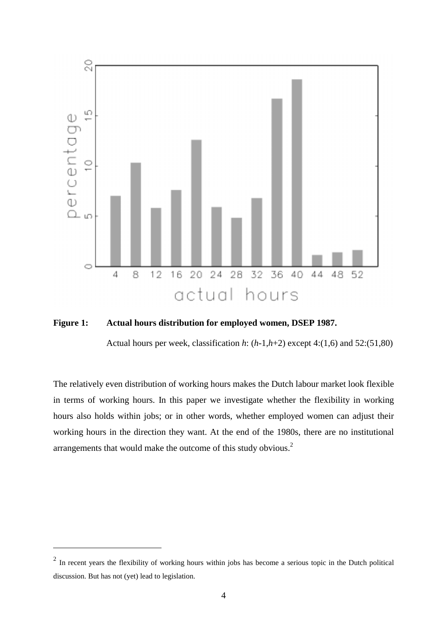

**Figure 1: Actual hours distribution for employed women, DSEP 1987.**

Actual hours per week, classification *h*: (*h*-1,*h*+2) except 4:(1,6) and 52:(51,80)

The relatively even distribution of working hours makes the Dutch labour market look flexible in terms of working hours. In this paper we investigate whether the flexibility in working hours also holds within jobs; or in other words, whether employed women can adjust their working hours in the direction they want. At the end of the 1980s, there are no institutional arrangements that would make the outcome of this study obvious.2

 $\overline{a}$ 

 $2 \text{ In recent years the flexibility of working hours within jobs has become a serious topic in the Dutch political.}$ discussion. But has not (yet) lead to legislation.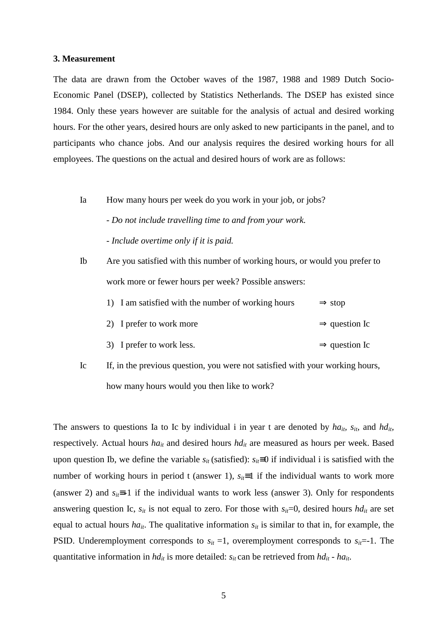### **3. Measurement**

The data are drawn from the October waves of the 1987, 1988 and 1989 Dutch Socio-Economic Panel (DSEP), collected by Statistics Netherlands. The DSEP has existed since 1984. Only these years however are suitable for the analysis of actual and desired working hours. For the other years, desired hours are only asked to new participants in the panel, and to participants who chance jobs. And our analysis requires the desired working hours for all employees. The questions on the actual and desired hours of work are as follows:

Ia How many hours per week do you work in your job, or jobs?

- *Do not include travelling time to and from your work. - Include overtime only if it is paid.*

Ib Are you satisfied with this number of working hours, or would you prefer to work more or fewer hours per week? Possible answers:

|  |  |  |  | 1) I am satisfied with the number of working hours | $\Rightarrow$ stop |
|--|--|--|--|----------------------------------------------------|--------------------|
|--|--|--|--|----------------------------------------------------|--------------------|

- 2) I prefer to work more  $\Rightarrow$  question Ic
- 3) I prefer to work less.  $\Rightarrow$  question Ic
- Ic If, in the previous question, you were not satisfied with your working hours, how many hours would you then like to work?

The answers to questions Ia to Ic by individual i in year t are denoted by  $ha_{it}$ ,  $s_{it}$ , and  $hd_{it}$ , respectively. Actual hours *ha<sub>it</sub>* and desired hours *hd<sub>it</sub>* are measured as hours per week. Based upon question Ib, we define the variable  $s_{it}$  (satisfied):  $s_{it} \equiv 0$  if individual i is satisfied with the number of working hours in period t (answer 1),  $s_{ii} \equiv 1$  if the individual wants to work more (answer 2) and  $s_{ii} \equiv -1$  if the individual wants to work less (answer 3). Only for respondents answering question Ic,  $s_{it}$  is not equal to zero. For those with  $s_{it}=0$ , desired hours  $h d_{it}$  are set equal to actual hours  $ha_{it}$ . The qualitative information  $s_{it}$  is similar to that in, for example, the PSID. Underemployment corresponds to  $s_{it} = 1$ , overemployment corresponds to  $s_{it} = -1$ . The quantitative information in  $hd_{it}$  is more detailed:  $s_{it}$  can be retrieved from  $hd_{it}$  -  $ha_{it}$ .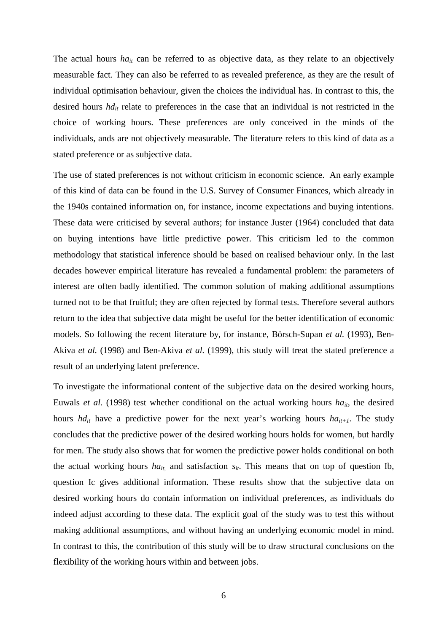The actual hours *ha<sub>it</sub>* can be referred to as objective data, as they relate to an objectively measurable fact. They can also be referred to as revealed preference, as they are the result of individual optimisation behaviour, given the choices the individual has. In contrast to this, the desired hours  $hd_{it}$  relate to preferences in the case that an individual is not restricted in the choice of working hours. These preferences are only conceived in the minds of the individuals, ands are not objectively measurable. The literature refers to this kind of data as a stated preference or as subjective data.

The use of stated preferences is not without criticism in economic science. An early example of this kind of data can be found in the U.S. Survey of Consumer Finances, which already in the 1940s contained information on, for instance, income expectations and buying intentions. These data were criticised by several authors; for instance Juster (1964) concluded that data on buying intentions have little predictive power. This criticism led to the common methodology that statistical inference should be based on realised behaviour only. In the last decades however empirical literature has revealed a fundamental problem: the parameters of interest are often badly identified. The common solution of making additional assumptions turned not to be that fruitful; they are often rejected by formal tests. Therefore several authors return to the idea that subjective data might be useful for the better identification of economic models. So following the recent literature by, for instance, Börsch-Supan *et al.* (1993), Ben-Akiva *et al.* (1998) and Ben-Akiva *et al.* (1999), this study will treat the stated preference a result of an underlying latent preference.

To investigate the informational content of the subjective data on the desired working hours, Euwals *et al.* (1998) test whether conditional on the actual working hours *ha<sub>it</sub>*, the desired hours *hd<sub>it</sub>* have a predictive power for the next year's working hours *ha*<sub>it+1</sub>. The study concludes that the predictive power of the desired working hours holds for women, but hardly for men. The study also shows that for women the predictive power holds conditional on both the actual working hours  $ha_{it}$  and satisfaction  $s_{it}$ . This means that on top of question Ib, question Ic gives additional information. These results show that the subjective data on desired working hours do contain information on individual preferences, as individuals do indeed adjust according to these data. The explicit goal of the study was to test this without making additional assumptions, and without having an underlying economic model in mind. In contrast to this, the contribution of this study will be to draw structural conclusions on the flexibility of the working hours within and between jobs.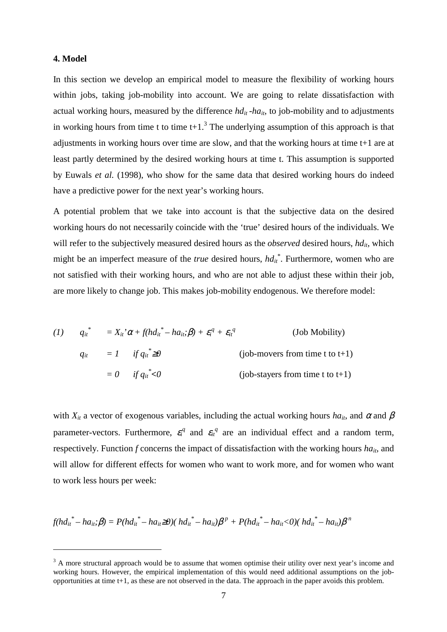# **4. Model**

 $\overline{a}$ 

In this section we develop an empirical model to measure the flexibility of working hours within jobs, taking job-mobility into account. We are going to relate dissatisfaction with actual working hours, measured by the difference  $hd_{it}$ -ha<sub>it</sub>, to job-mobility and to adjustments in working hours from time t to time  $t+1$ <sup>3</sup>. The underlying assumption of this approach is that adjustments in working hours over time are slow, and that the working hours at time t+1 are at least partly determined by the desired working hours at time t. This assumption is supported by Euwals *et al.* (1998), who show for the same data that desired working hours do indeed have a predictive power for the next year's working hours.

A potential problem that we take into account is that the subjective data on the desired working hours do not necessarily coincide with the 'true' desired hours of the individuals. We will refer to the subjectively measured desired hours as the *observed* desired hours, *hd<sub>it</sub>*, which might be an imperfect measure of the *true* desired hours,  $h d_{it}^*$ . Furthermore, women who are not satisfied with their working hours, and who are not able to adjust these within their job, are more likely to change job. This makes job-mobility endogenous. We therefore model:

(1) 
$$
q_{ii}^* = X_{ii}^* \alpha + f(hd_{ii}^* - ha_{ii}; \beta) + \varepsilon_i^q + \varepsilon_{ii}^q
$$
 (Job Mobility)  
\n $q_{ii} = 1$  if  $q_{ii}^* \ge 0$  (job-movers from time t to t+1)  
\n $= 0$  if  $q_{ii}^* < 0$  (job-stayers from time t to t+1)

with  $X_{it}$  a vector of exogenous variables, including the actual working hours  $ha_{it}$ , and  $\alpha$  and  $\beta$ parameter-vectors. Furthermore,  $\varepsilon_i^q$  and  $\varepsilon_i^q$  are an individual effect and a random term, respectively. Function *f* concerns the impact of dissatisfaction with the working hours  $ha_{it}$ , and will allow for different effects for women who want to work more, and for women who want to work less hours per week:

 $f(hd_{it}^* - ha_{it}; \beta) = P(hd_{it}^* - ha_{it} \ge 0)$ ( $hd_{it}^* - ha_{it} \beta^p + P(hd_{it}^* - ha_{it} \lt 0)$ ( $hd_{it}^* - ha_{it} \beta^p$ 

 $3$  A more structural approach would be to assume that women optimise their utility over next year's income and working hours. However, the empirical implementation of this would need additional assumptions on the jobopportunities at time t+1, as these are not observed in the data. The approach in the paper avoids this problem.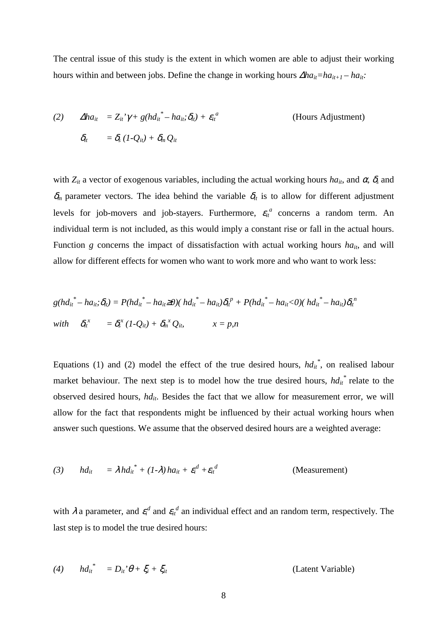The central issue of this study is the extent in which women are able to adjust their working hours within and between jobs. Define the change in working hours  $\Delta ha_{it} = ha_{it+1} - ha_{it}$ .

(2) 
$$
\Delta ha_{it} = Z_{it}^{\prime} \gamma + g(h d_{it}^* - h a_{it}; \delta_{it}) + \varepsilon_{it}^{a}
$$
 (Hours Adjustment)  
\n
$$
\delta_{it} = \delta_{s} (1 - Q_{it}) + \delta_{m} Q_{it}
$$

with  $Z_{it}$  a vector of exogenous variables, including the actual working hours  $ha_{it}$ , and  $\alpha$ ,  $\delta_s$  and  $\delta_m$  parameter vectors. The idea behind the variable  $\delta_t$  is to allow for different adjustment levels for job-movers and job-stayers. Furthermore,  $\varepsilon_{it}^a$  concerns a random term. An individual term is not included, as this would imply a constant rise or fall in the actual hours. Function *g* concerns the impact of dissatisfaction with actual working hours  $ha_{it}$ , and will allow for different effects for women who want to work more and who want to work less:

$$
g(hd_{it}^* - ha_{it}; \delta_{it}) = P(hd_{it}^* - ha_{it} \ge 0)(hd_{it}^* - ha_{it})\delta_{it}^p + P(hd_{it}^* - ha_{it} < 0)(hd_{it}^* - ha_{it})\delta_{it}^n
$$
\n
$$
with \quad \delta_{it}^x = \delta_s^x (1 - Q_{it}) + \delta_m^x Q_{it} \qquad x = p, n
$$

Equations (1) and (2) model the effect of the true desired hours,  $hd_{it}^*$ , on realised labour market behaviour. The next step is to model how the true desired hours,  $h d_{it}^*$  relate to the observed desired hours, *hd<sub>it</sub>*. Besides the fact that we allow for measurement error, we will allow for the fact that respondents might be influenced by their actual working hours when answer such questions. We assume that the observed desired hours are a weighted average:

(3) 
$$
hd_{it} = \lambda h d_{it}^* + (1-\lambda) h a_{it} + \varepsilon_i^d + \varepsilon_{it}^d
$$
 (Measurement)

with  $\lambda$  a parameter, and  $\varepsilon_i^d$  and  $\varepsilon_i^d$  an individual effect and an random term, respectively. The last step is to model the true desired hours:

(4) 
$$
hd_{it}^* = D_{it}^* \theta + \xi_i + \xi_{it}
$$
 (Latent Variable)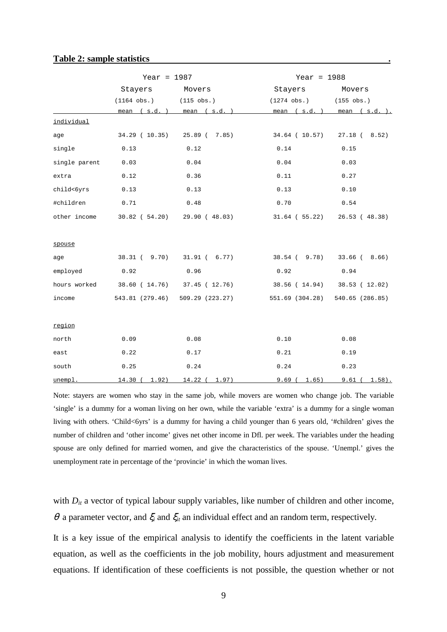|               | Year = $1987$      |                                       | Year = $1988$       |                               |
|---------------|--------------------|---------------------------------------|---------------------|-------------------------------|
|               | Stayers            | Movers                                | Stayers             | Movers                        |
|               | $(1164 \; obs.)$   | $(115 \; obs.)$                       | $(1274 \; obs.)$    | $(155 \; obs.)$               |
|               |                    | mean $(s.d. )$ mean $(s.d. )$         | mean $(s.d.)$       | mean $(s.d. )$ .              |
| individual    |                    |                                       |                     |                               |
| age           |                    | 34.29 ( 10.35) 25.89 ( 7.85)          | 34.64 ( 10.57)      | $27.18$ ( $8.52$ )            |
| single        | 0.13               | 0.12                                  | 0.14                | 0.15                          |
| single parent | 0.03               | 0.04                                  | 0.04                | 0.03                          |
| extra         | 0.12               | 0.36                                  | 0.11                | 0.27                          |
| child<6yrs    | 0.13               | 0.13                                  | 0.13                | 0.10                          |
| #children     | 0.71               | 0.48                                  | 0.70                | 0.54                          |
| other income  |                    | $30.82$ ( $54.20$ ) 29.90 ( $48.03$ ) | $31.64$ ( $55.22$ ) | 26.53 (48.38)                 |
|               |                    |                                       |                     |                               |
| spouse        |                    |                                       |                     |                               |
| age           |                    | 38.31 ( 9.70) 31.91 ( 6.77)           | 38.54 ( 9.78)       | $33.66$ ( $8.66$ )            |
| employed      | 0.92               | 0.96                                  | 0.92                | 0.94                          |
| hours worked  |                    | 38.60 ( 14.76) 37.45 ( 12.76)         |                     | 38.56 ( 14.94) 38.53 ( 12.02) |
| income        | 543.81 (279.46)    | 509.29 (223.27)                       | 551.69 (304.28)     | 540.65 (286.85)               |
|               |                    |                                       |                     |                               |
| region        |                    |                                       |                     |                               |
| north         | 0.09               | 0.08                                  | 0.10                | 0.08                          |
| east          | 0.22               | 0.17                                  | 0.21                | 0.19                          |
| south         | 0.25               | 0.24                                  | 0.24                | 0.23                          |
| unempl        | $14.30$ (<br>1.92) | $14.22$ (<br>1.97)                    | 9.69(<br>1.65)      | 9.61 (1.58).                  |

### **Table 2: sample statistics .**

Note: stayers are women who stay in the same job, while movers are women who change job. The variable 'single' is a dummy for a woman living on her own, while the variable 'extra' is a dummy for a single woman living with others. 'Child<6yrs' is a dummy for having a child younger than 6 years old, '#children' gives the number of children and 'other income' gives net other income in Dfl. per week. The variables under the heading spouse are only defined for married women, and give the characteristics of the spouse. 'Unempl.' gives the unemployment rate in percentage of the 'provincie' in which the woman lives.

with  $D_{it}$  a vector of typical labour supply variables, like number of children and other income,  $θ$  a parameter vector, and  $ξ<sub>i</sub>$  and  $ξ<sub>ii</sub>$  an individual effect and an random term, respectively.

It is a key issue of the empirical analysis to identify the coefficients in the latent variable equation, as well as the coefficients in the job mobility, hours adjustment and measurement equations. If identification of these coefficients is not possible, the question whether or not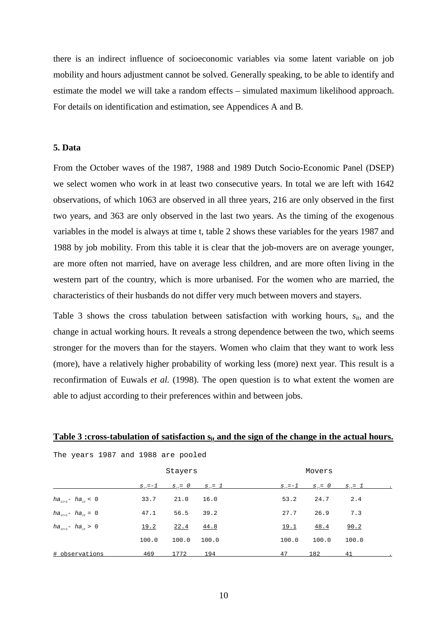there is an indirect influence of socioeconomic variables via some latent variable on job mobility and hours adjustment cannot be solved. Generally speaking, to be able to identify and estimate the model we will take a random effects – simulated maximum likelihood approach. For details on identification and estimation, see Appendices A and B.

# **5. Data**

From the October waves of the 1987, 1988 and 1989 Dutch Socio-Economic Panel (DSEP) we select women who work in at least two consecutive years. In total we are left with 1642 observations, of which 1063 are observed in all three years, 216 are only observed in the first two years, and 363 are only observed in the last two years. As the timing of the exogenous variables in the model is always at time t, table 2 shows these variables for the years 1987 and 1988 by job mobility. From this table it is clear that the job-movers are on average younger, are more often not married, have on average less children, and are more often living in the western part of the country, which is more urbanised. For the women who are married, the characteristics of their husbands do not differ very much between movers and stayers.

Table 3 shows the cross tabulation between satisfaction with working hours,  $s_{it}$ , and the change in actual working hours. It reveals a strong dependence between the two, which seems stronger for the movers than for the stayers. Women who claim that they want to work less (more), have a relatively higher probability of working less (more) next year. This result is a reconfirmation of Euwals *et al.* (1998). The open question is to what extent the women are able to adjust according to their preferences within and between jobs.

| The years 1987 and 1988 are pooled |       |         |                                         |       |        |                                         |
|------------------------------------|-------|---------|-----------------------------------------|-------|--------|-----------------------------------------|
|                                    |       | Stayers |                                         |       | Movers |                                         |
|                                    |       |         | $S_{it} = -1$ $S_{it} = 0$ $S_{it} = 1$ |       |        | $S_{ij} = -1$ $S_{ij} = 0$ $S_{ij} = 1$ |
| $ha_{i_{t+1}} - ha_{i_t} < 0$      | 33.7  | 21.0    | 16.0                                    | 53.2  | 24.7   | 2.4                                     |
| $ha_{i_{t+1}} - ha_{i_t} = 0$      | 47.1  | 56.5    | 39.2                                    | 27.7  | 26.9   | 7.3                                     |
| $ha_{it+1} - ha_{it} > 0$          | 19.2  | 22.4    | 44.8                                    | 19.1  | 48.4   | 90.2                                    |
|                                    | 100.0 | 100.0   | 100.0                                   | 100.0 | 100.0  | 100.0                                   |
| # observations                     | 469   | 1772    | 194                                     | 47    | 182    | 41                                      |

### Table 3 :cross-tabulation of satisfaction s<sub>it</sub> and the sign of the change in the actual hours.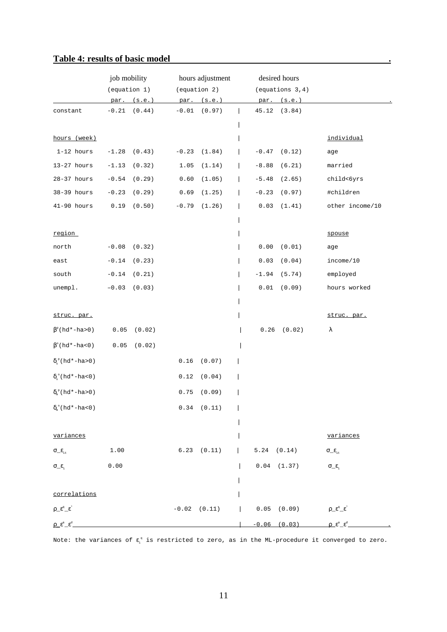# Table 4: results of basic model **and the set of basic model .**

|                                                                                                                                             | job mobility<br>(equation 1)      |        |         | hours adjustment<br>(equation 2) |                 | desired hours<br>(equations 3,4) |                                                  |
|---------------------------------------------------------------------------------------------------------------------------------------------|-----------------------------------|--------|---------|----------------------------------|-----------------|----------------------------------|--------------------------------------------------|
|                                                                                                                                             | par.                              | (s.e.) |         | par. $(s.e.)$                    |                 | $par.$ $(s.e.)$                  |                                                  |
| constant                                                                                                                                    | $-0.21$                           | (0.44) | $-0.01$ | (0.97)                           | 45.12           | (3.84)                           |                                                  |
|                                                                                                                                             |                                   |        |         |                                  |                 |                                  |                                                  |
| hours (week)                                                                                                                                |                                   |        |         |                                  |                 |                                  | individual                                       |
| $1-12$ hours                                                                                                                                | $-1.28$                           | (0.43) | $-0.23$ | (1.84)                           | $-0.47$         | (0.12)                           | age                                              |
| $13-27$ hours                                                                                                                               | $-1.13$                           | (0.32) | 1.05    | (1.14)                           | $-8.88$         | (6.21)                           | married                                          |
| $28-37$ hours                                                                                                                               | $\textcolor{red}{\textbf{-0.54}}$ | (0.29) | 0.60    | (1.05)                           | $-5.48$         | (2.65)                           | child<6yrs                                       |
| 38-39 hours                                                                                                                                 | $-0.23$                           | (0.29) | 0.69    | (1.25)                           | $-0.23$         | (0.97)                           | #children                                        |
| $41-90$ hours                                                                                                                               | 0.19                              | (0.50) | $-0.79$ | (1.26)                           | 0.03            | (1.41)                           | other income/10                                  |
|                                                                                                                                             |                                   |        |         |                                  |                 |                                  |                                                  |
| region                                                                                                                                      |                                   |        |         |                                  |                 |                                  | spouse                                           |
| north                                                                                                                                       | $-0.08$                           | (0.32) |         |                                  | 0.00            | (0.01)                           | age                                              |
| east                                                                                                                                        | $-0.14$                           | (0.23) |         |                                  | 0.03            | (0.04)                           | income/10                                        |
| south                                                                                                                                       | $-0.14$                           | (0.21) |         |                                  | $-1.94$         | (5.74)                           | employed                                         |
| unempl.                                                                                                                                     | $-0.03$                           | (0.03) |         |                                  | 0.01            | (0.09)                           | hours worked                                     |
|                                                                                                                                             |                                   |        |         |                                  |                 |                                  |                                                  |
| struc. par.                                                                                                                                 |                                   |        |         |                                  |                 |                                  | struc. par.                                      |
| $\beta^{\rm p}$ (hd*-ha>0)                                                                                                                  | 0.05                              | (0.02) |         |                                  | 0.26            | (0.02)                           | λ                                                |
| $\beta^n$ (hd*-ha<0)                                                                                                                        | 0.05                              | (0.02) |         |                                  |                 |                                  |                                                  |
| $\delta_{\circ}^{\text{P}}(\text{hd*-ha>0})$                                                                                                |                                   |        | 0.16    | (0.07)                           |                 |                                  |                                                  |
| $\delta_{\scriptscriptstyle\rm s}^{\scriptscriptstyle\rm n}(\,{\rm hd}^*{\text{--}}{\rm ha}\hspace{-0.1em}<\hspace{-0.1em}0\hspace{0.1em})$ |                                   |        | 0.12    | (0.04)                           |                 |                                  |                                                  |
| $\delta_{\scriptscriptstyle \rm m}^{\scriptscriptstyle\rm p}(\,{\rm hd}^{\star}\!-\!{\rm ha}\!>\!0\,)$                                      |                                   |        | 0.75    | (0.09)                           |                 |                                  |                                                  |
| $\delta_{n}^{n}$ (hd*-ha<0)                                                                                                                 |                                   |        |         | $0.34$ $(0.11)$                  |                 |                                  |                                                  |
|                                                                                                                                             |                                   |        |         |                                  |                 |                                  |                                                  |
| variances                                                                                                                                   |                                   |        |         |                                  |                 |                                  | variances                                        |
| $\sigma\_{\epsilon_{\rm it}}$                                                                                                               | 1.00                              |        |         | $6.23$ $(0.11)$                  | $5.24$ $(0.14)$ |                                  | $\sigma_{\!\_E_{\text{it}}}$                     |
| $\sigma_{\!\_}\epsilon_{\scriptscriptstyle \rm i}$                                                                                          | 0.00                              |        |         |                                  |                 | $0.04$ $(1.37)$                  | $\sigma_-\epsilon_{\rm i}$                       |
|                                                                                                                                             |                                   |        |         |                                  |                 |                                  |                                                  |
| correlations                                                                                                                                |                                   |        |         |                                  |                 |                                  |                                                  |
| $\rho \mathcal{E}^{\alpha} \mathcal{E}^*$                                                                                                   |                                   |        |         | $-0.02$ $(0.11)$                 |                 | $0.05$ $(0.09)$                  | $\rho \mathcal{E}^{\alpha} \mathcal{E}^{\alpha}$ |
| $\rho \hat{e}^a \hat{e}^d$                                                                                                                  |                                   |        |         |                                  |                 | $-0.06$ $(0.03)$                 | $\rho \hat{e}^a \hat{e}^d$                       |

Note: the variances of  $\epsilon_{i}^{\;q}$  is restricted to zero, as in the ML-procedure it converged to zero.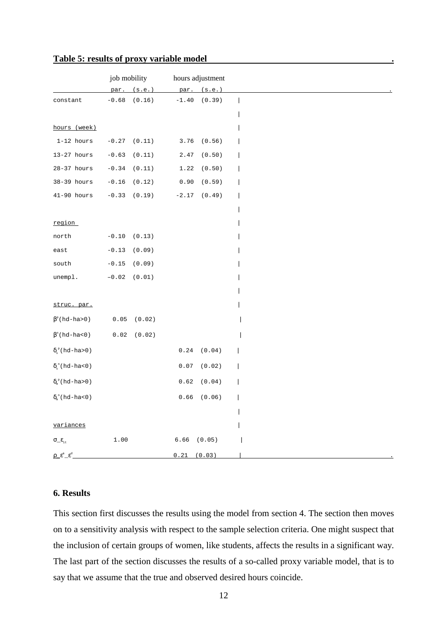|                                                                                                | job mobility                                             |                  |          | hours adjustment |  |
|------------------------------------------------------------------------------------------------|----------------------------------------------------------|------------------|----------|------------------|--|
|                                                                                                | par.                                                     | (s.e.)           | par.     | (s.e.)           |  |
| constant                                                                                       | $-0.68$                                                  | (0.16)           | $-1.40$  | (0.39)           |  |
|                                                                                                |                                                          |                  |          |                  |  |
| hours (week)                                                                                   |                                                          |                  |          |                  |  |
| $1-12$ hours                                                                                   |                                                          | $-0.27$ $(0.11)$ | 3.76     | (0.56)           |  |
| $13-27$ hours                                                                                  | $-0.63$                                                  | (0.11)           | 2.47     | $(\,0\, , 50\,)$ |  |
| $28-37$ hours                                                                                  | $-0.34$                                                  | (0.11)           | 1.22     | (0.50)           |  |
| 38-39 hours                                                                                    | $\textcolor{red}{\textbf{-0.16}}$                        | (0.12)           | 0.90     | (0.59)           |  |
| $41-90$ hours                                                                                  | $-0.33$                                                  | (0.19)           | $-2.17$  | (0.49)           |  |
|                                                                                                |                                                          |                  |          |                  |  |
| region                                                                                         |                                                          |                  |          |                  |  |
| north                                                                                          | $-0.10$                                                  | (0.13)           |          |                  |  |
| east                                                                                           | $-0.13$                                                  | (0.09)           |          |                  |  |
| south                                                                                          | $-0.15$                                                  | (0.09)           |          |                  |  |
| unempl.                                                                                        | $-0.02$                                                  | (0.01)           |          |                  |  |
|                                                                                                |                                                          |                  |          |                  |  |
| struc. par.                                                                                    |                                                          |                  |          |                  |  |
| $\beta^{\text{\tiny{P}}}(\text{hd-ha>0})$                                                      | 0.05                                                     | (0.02)           |          |                  |  |
| $\beta$ <sup>n</sup> (hd-ha<0)                                                                 | $\ensuremath{\mathbf{0}}$ . $\ensuremath{\mathbf{0}}\,2$ | (0.02)           |          |                  |  |
| $\delta_{\scriptscriptstyle\rm s}^{\scriptscriptstyle\rm p}(\rm{hd}\text{-}\rm{ha}\text{-}0)$  |                                                          |                  | 0.24     | (0.04)           |  |
| $\delta_{\rm s}^{\rm n}(\rm{hd}\text{-}\rm{ha}\text{-}0)$                                      |                                                          |                  | 0.07     | (0.02)           |  |
|                                                                                                |                                                          |                  |          |                  |  |
| $\delta_{\scriptscriptstyle \rm m}^{\scriptscriptstyle\rm p}(\rm{hd}\text{-}\rm{ha}\text{-}0)$ |                                                          |                  | 0.62     | (0.04)           |  |
| $\delta_{\scriptscriptstyle \rm m}^{\scriptscriptstyle\rm n}(\rm{hd}\text{-}\rm{ha}\text{-}0)$ |                                                          |                  | $0.66\,$ | (0.06)           |  |
|                                                                                                |                                                          |                  |          |                  |  |
| variances                                                                                      |                                                          |                  |          |                  |  |
| $\sigma\_{\epsilon_{\rm it}}$                                                                  | 1.00                                                     |                  | 6.66     | (0.05)           |  |
| $\rho \mathcal{E}^{\text{a}} \mathcal{E}^{\text{d}}$                                           |                                                          |                  | 0.21     | (0.03)           |  |

# **Table 5: results of proxy variable model .**

# **6. Results**

This section first discusses the results using the model from section 4. The section then moves on to a sensitivity analysis with respect to the sample selection criteria. One might suspect that the inclusion of certain groups of women, like students, affects the results in a significant way. The last part of the section discusses the results of a so-called proxy variable model, that is to say that we assume that the true and observed desired hours coincide.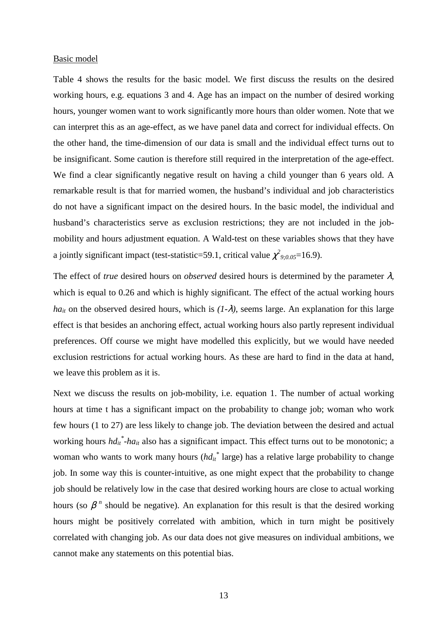### Basic model

Table 4 shows the results for the basic model. We first discuss the results on the desired working hours, e.g. equations 3 and 4. Age has an impact on the number of desired working hours, younger women want to work significantly more hours than older women. Note that we can interpret this as an age-effect, as we have panel data and correct for individual effects. On the other hand, the time-dimension of our data is small and the individual effect turns out to be insignificant. Some caution is therefore still required in the interpretation of the age-effect. We find a clear significantly negative result on having a child younger than 6 years old. A remarkable result is that for married women, the husband's individual and job characteristics do not have a significant impact on the desired hours. In the basic model, the individual and husband's characteristics serve as exclusion restrictions; they are not included in the jobmobility and hours adjustment equation. A Wald-test on these variables shows that they have a jointly significant impact (test-statistic=59.1, critical value  $\chi^2_{9;0.05}=16.9$ ).

The effect of *true* desired hours on *observed* desired hours is determined by the parameter  $\lambda$ , which is equal to 0.26 and which is highly significant. The effect of the actual working hours *ha<sub>it</sub>* on the observed desired hours, which is  $(1-\lambda)$ , seems large. An explanation for this large effect is that besides an anchoring effect, actual working hours also partly represent individual preferences. Off course we might have modelled this explicitly, but we would have needed exclusion restrictions for actual working hours. As these are hard to find in the data at hand, we leave this problem as it is.

Next we discuss the results on job-mobility, i.e. equation 1. The number of actual working hours at time t has a significant impact on the probability to change job; woman who work few hours (1 to 27) are less likely to change job. The deviation between the desired and actual working hours  $h d_{it}^*$ -ha<sub>it</sub> also has a significant impact. This effect turns out to be monotonic; a woman who wants to work many hours ( $hd_{it}^*$  large) has a relative large probability to change job. In some way this is counter-intuitive, as one might expect that the probability to change job should be relatively low in the case that desired working hours are close to actual working hours (so  $\beta$ <sup>n</sup> should be negative). An explanation for this result is that the desired working hours might be positively correlated with ambition, which in turn might be positively correlated with changing job. As our data does not give measures on individual ambitions, we cannot make any statements on this potential bias.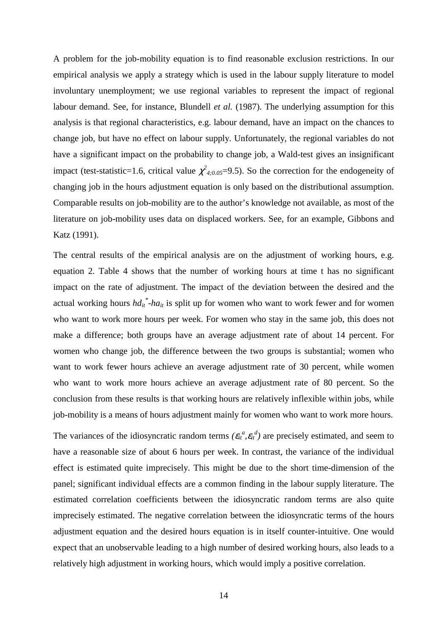A problem for the job-mobility equation is to find reasonable exclusion restrictions. In our empirical analysis we apply a strategy which is used in the labour supply literature to model involuntary unemployment; we use regional variables to represent the impact of regional labour demand. See, for instance, Blundell *et al.* (1987). The underlying assumption for this analysis is that regional characteristics, e.g. labour demand, have an impact on the chances to change job, but have no effect on labour supply. Unfortunately, the regional variables do not have a significant impact on the probability to change job, a Wald-test gives an insignificant impact (test-statistic=1.6, critical value  $\chi^2_{4;0.05}$ =9.5). So the correction for the endogeneity of changing job in the hours adjustment equation is only based on the distributional assumption. Comparable results on job-mobility are to the author's knowledge not available, as most of the literature on job-mobility uses data on displaced workers. See, for an example, Gibbons and Katz (1991).

The central results of the empirical analysis are on the adjustment of working hours, e.g. equation 2. Table 4 shows that the number of working hours at time t has no significant impact on the rate of adjustment. The impact of the deviation between the desired and the actual working hours  $h d_{it}^*$ -ha<sub>it</sub> is split up for women who want to work fewer and for women who want to work more hours per week. For women who stay in the same job, this does not make a difference; both groups have an average adjustment rate of about 14 percent. For women who change job, the difference between the two groups is substantial; women who want to work fewer hours achieve an average adjustment rate of 30 percent, while women who want to work more hours achieve an average adjustment rate of 80 percent. So the conclusion from these results is that working hours are relatively inflexible within jobs, while job-mobility is a means of hours adjustment mainly for women who want to work more hours.

The variances of the idiosyncratic random terms  $(\varepsilon_{it}^a, \varepsilon_{it}^d)$  are precisely estimated, and seem to have a reasonable size of about 6 hours per week. In contrast, the variance of the individual effect is estimated quite imprecisely. This might be due to the short time-dimension of the panel; significant individual effects are a common finding in the labour supply literature. The estimated correlation coefficients between the idiosyncratic random terms are also quite imprecisely estimated. The negative correlation between the idiosyncratic terms of the hours adjustment equation and the desired hours equation is in itself counter-intuitive. One would expect that an unobservable leading to a high number of desired working hours, also leads to a relatively high adjustment in working hours, which would imply a positive correlation.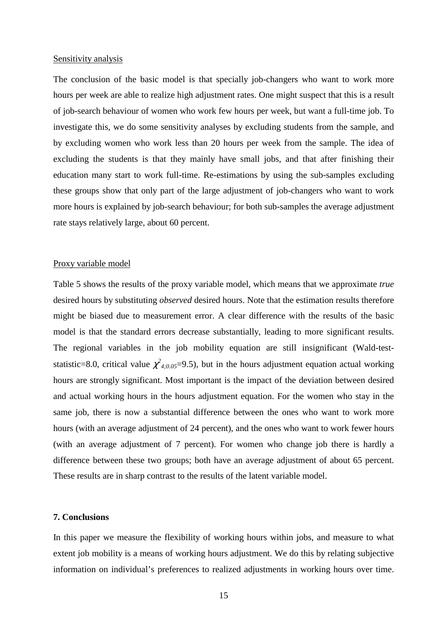### Sensitivity analysis

The conclusion of the basic model is that specially job-changers who want to work more hours per week are able to realize high adjustment rates. One might suspect that this is a result of job-search behaviour of women who work few hours per week, but want a full-time job. To investigate this, we do some sensitivity analyses by excluding students from the sample, and by excluding women who work less than 20 hours per week from the sample. The idea of excluding the students is that they mainly have small jobs, and that after finishing their education many start to work full-time. Re-estimations by using the sub-samples excluding these groups show that only part of the large adjustment of job-changers who want to work more hours is explained by job-search behaviour; for both sub-samples the average adjustment rate stays relatively large, about 60 percent.

### Proxy variable model

Table 5 shows the results of the proxy variable model, which means that we approximate *true* desired hours by substituting *observed* desired hours. Note that the estimation results therefore might be biased due to measurement error. A clear difference with the results of the basic model is that the standard errors decrease substantially, leading to more significant results. The regional variables in the job mobility equation are still insignificant (Wald-teststatistic=8.0, critical value  $\chi^2_{4;0.05}$ =9.5), but in the hours adjustment equation actual working hours are strongly significant. Most important is the impact of the deviation between desired and actual working hours in the hours adjustment equation. For the women who stay in the same job, there is now a substantial difference between the ones who want to work more hours (with an average adjustment of 24 percent), and the ones who want to work fewer hours (with an average adjustment of 7 percent). For women who change job there is hardly a difference between these two groups; both have an average adjustment of about 65 percent. These results are in sharp contrast to the results of the latent variable model.

# **7. Conclusions**

In this paper we measure the flexibility of working hours within jobs, and measure to what extent job mobility is a means of working hours adjustment. We do this by relating subjective information on individual's preferences to realized adjustments in working hours over time.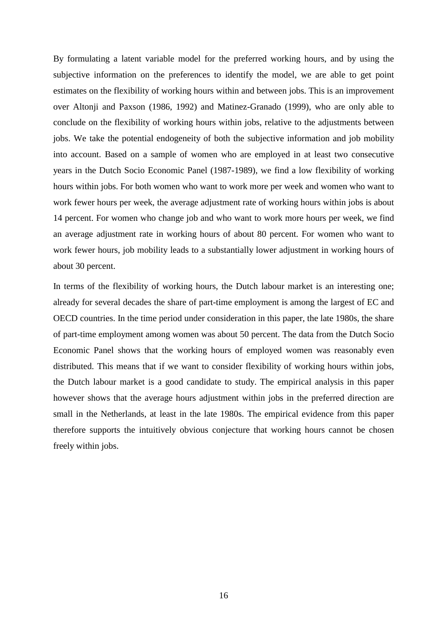By formulating a latent variable model for the preferred working hours, and by using the subjective information on the preferences to identify the model, we are able to get point estimates on the flexibility of working hours within and between jobs. This is an improvement over Altonji and Paxson (1986, 1992) and Matinez-Granado (1999), who are only able to conclude on the flexibility of working hours within jobs, relative to the adjustments between jobs. We take the potential endogeneity of both the subjective information and job mobility into account. Based on a sample of women who are employed in at least two consecutive years in the Dutch Socio Economic Panel (1987-1989), we find a low flexibility of working hours within jobs. For both women who want to work more per week and women who want to work fewer hours per week, the average adjustment rate of working hours within jobs is about 14 percent. For women who change job and who want to work more hours per week, we find an average adjustment rate in working hours of about 80 percent. For women who want to work fewer hours, job mobility leads to a substantially lower adjustment in working hours of about 30 percent.

In terms of the flexibility of working hours, the Dutch labour market is an interesting one; already for several decades the share of part-time employment is among the largest of EC and OECD countries. In the time period under consideration in this paper, the late 1980s, the share of part-time employment among women was about 50 percent. The data from the Dutch Socio Economic Panel shows that the working hours of employed women was reasonably even distributed. This means that if we want to consider flexibility of working hours within jobs, the Dutch labour market is a good candidate to study. The empirical analysis in this paper however shows that the average hours adjustment within jobs in the preferred direction are small in the Netherlands, at least in the late 1980s. The empirical evidence from this paper therefore supports the intuitively obvious conjecture that working hours cannot be chosen freely within jobs.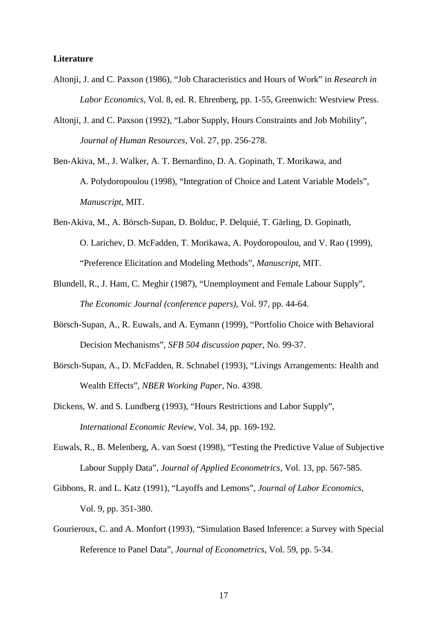# **Literature**

- Altonji, J. and C. Paxson (1986), "Job Characteristics and Hours of Work" in *Research in Labor Economics,* Vol. 8, ed. R. Ehrenberg, pp. 1-55, Greenwich: Westview Press.
- Altonji, J. and C. Paxson (1992), "Labor Supply, Hours Constraints and Job Mobility", *Journal of Human Resources*, Vol. 27, pp. 256-278.
- Ben-Akiva, M., J. Walker, A. T. Bernardino, D. A. Gopinath, T. Morikawa, and A. Polydoropoulou (1998), "Integration of Choice and Latent Variable Models", *Manuscript*, MIT.
- Ben-Akiva, M., A. Börsch-Supan, D. Bolduc, P. Delquié, T. Gärling, D. Gopinath, O. Larichev, D. McFadden, T. Morikawa, A. Poydoropoulou, and V. Rao (1999), "Preference Elicitation and Modeling Methods", *Manuscript*, MIT.
- Blundell, R., J. Ham, C. Meghir (1987), "Unemployment and Female Labour Supply", *The Economic Journal (conference papers)*, Vol. 97, pp. 44-64.
- Börsch-Supan, A., R. Euwals, and A. Eymann (1999), "Portfolio Choice with Behavioral Decision Mechanisms", *SFB 504 discussion paper*, No. 99-37.
- Börsch-Supan, A., D. McFadden, R. Schnabel (1993), "Livings Arrangements: Health and Wealth Effects", *NBER Working Paper*, No. 4398.
- Dickens, W. and S. Lundberg (1993), "Hours Restrictions and Labor Supply", *International Economic Review*, Vol. 34, pp. 169-192.
- Euwals, R., B. Melenberg, A. van Soest (1998), "Testing the Predictive Value of Subjective Labour Supply Data", *Journal of Applied Econometrics*, Vol. 13, pp. 567-585.
- Gibbons, R. and L. Katz (1991), "Layoffs and Lemons", *Journal of Labor Economics*, Vol. 9, pp. 351-380.
- Gourieroux, C. and A. Monfort (1993), "Simulation Based Inference: a Survey with Special Reference to Panel Data", *Journal of Econometrics*, Vol. 59, pp. 5-34.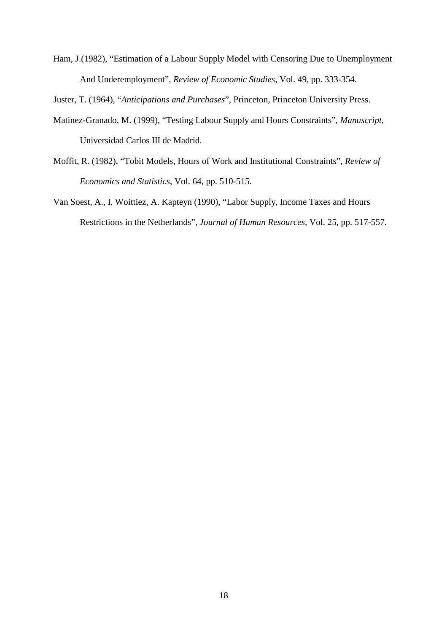Ham, J.(1982), "Estimation of a Labour Supply Model with Censoring Due to Unemployment And Underemployment", *Review of Economic Studies*, Vol. 49, pp. 333-354.

Juster, T. (1964), "*Anticipations and Purchases*", Princeton, Princeton University Press.

- Matinez-Granado, M. (1999), "Testing Labour Supply and Hours Constraints", *Manuscript*, Universidad Carlos III de Madrid.
- Moffit, R. (1982), "Tobit Models, Hours of Work and Institutional Constraints", *Review of Economics and Statistics*, Vol. 64, pp. 510-515.
- Van Soest, A., I. Woittiez, A. Kapteyn (1990), "Labor Supply, Income Taxes and Hours Restrictions in the Netherlands", *Journal of Human Resources,* Vol. 25, pp. 517-557.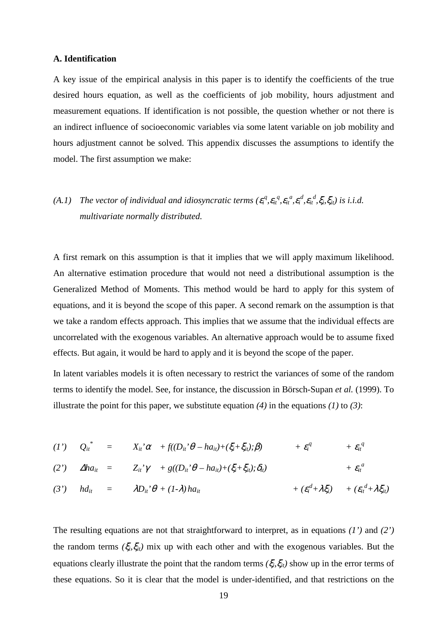# **A. Identification**

A key issue of the empirical analysis in this paper is to identify the coefficients of the true desired hours equation, as well as the coefficients of job mobility, hours adjustment and measurement equations. If identification is not possible, the question whether or not there is an indirect influence of socioeconomic variables via some latent variable on job mobility and hours adjustment cannot be solved. This appendix discusses the assumptions to identify the model. The first assumption we make:

# (A.1) The vector of individual and idiosyncratic terms  $(\varepsilon_i^q, \varepsilon_{it}^q, \varepsilon_i^q, \varepsilon_i^d, \varepsilon_i^d, \xi_i, \xi_{it})$  is i.i.d. *multivariate normally distributed.*

A first remark on this assumption is that it implies that we will apply maximum likelihood. An alternative estimation procedure that would not need a distributional assumption is the Generalized Method of Moments. This method would be hard to apply for this system of equations, and it is beyond the scope of this paper. A second remark on the assumption is that we take a random effects approach. This implies that we assume that the individual effects are uncorrelated with the exogenous variables. An alternative approach would be to assume fixed effects. But again, it would be hard to apply and it is beyond the scope of the paper.

In latent variables models it is often necessary to restrict the variances of some of the random terms to identify the model. See, for instance, the discussion in Börsch-Supan *et al.* (1999). To illustrate the point for this paper, we substitute equation *(4)* in the equations *(1)* to *(3)*:

(1') 
$$
Q_{it}^* = X_{it}^* \alpha + f((D_{it}^* \theta - h a_{it}) + (\xi_i + \xi_{it}); \beta) + \varepsilon_i^q + \varepsilon_i^q
$$
  
\n(2')  $\Delta h a_{it} = Z_{it}^* \gamma + g((D_{it}^* \theta - h a_{it}) + (\xi_i + \xi_{it}); \delta_{it}) + \varepsilon_i^q + \varepsilon_i^q$ 

(3') 
$$
hd_{it} = \lambda D_{it} \cdot \theta + (1-\lambda) ha_{it} + (\varepsilon_i^d + \lambda \xi_i) + (\varepsilon_{it}^d + \lambda \xi_{it})
$$

The resulting equations are not that straightforward to interpret, as in equations *(1')* and *(2')* the random terms  $(\xi_i, \xi_{it})$  mix up with each other and with the exogenous variables. But the equations clearly illustrate the point that the random terms  $(\xi_i, \xi_i)$  show up in the error terms of these equations. So it is clear that the model is under-identified, and that restrictions on the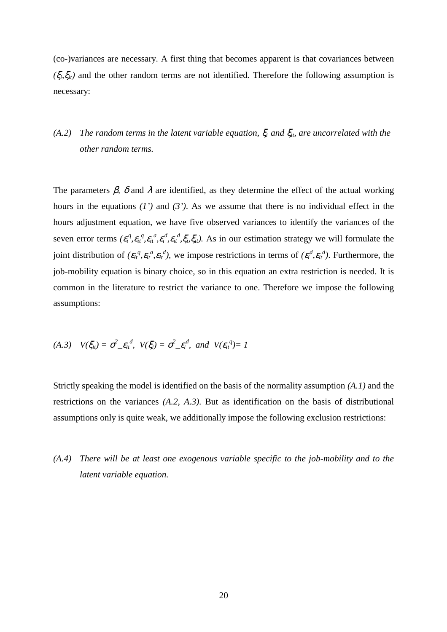(co-)variances are necessary. A first thing that becomes apparent is that covariances between  $(\xi_i, \xi_i)$  and the other random terms are not identified. Therefore the following assumption is necessary:

# *(A.2) The random terms in the latent variable equation,* ξ*i and* ξ*it, are uncorrelated with the other random terms.*

The parameters  $\beta$ ,  $\delta$  and  $\lambda$  are identified, as they determine the effect of the actual working hours in the equations *(1')* and *(3')*. As we assume that there is no individual effect in the hours adjustment equation, we have five observed variances to identify the variances of the seven error terms  $(\varepsilon_i^q, \varepsilon_i^q, \varepsilon_i^q, \varepsilon_i^d, \varepsilon_i^d, \varepsilon_i^d, \xi_i, \xi_i)$ . As in our estimation strategy we will formulate the joint distribution of  $(\varepsilon_{it}^q, \varepsilon_{it}^q, \varepsilon_{it}^d)$ , we impose restrictions in terms of  $(\varepsilon_i^d, \varepsilon_{it}^d)$ . Furthermore, the job-mobility equation is binary choice, so in this equation an extra restriction is needed. It is common in the literature to restrict the variance to one. Therefore we impose the following assumptions:

(A.3) 
$$
V(\xi_{it}) = \sigma^2 \epsilon_{it}^d
$$
,  $V(\xi_i) = \sigma^2 \epsilon_i^d$ , and  $V(\epsilon_{it}^q) = 1$ 

Strictly speaking the model is identified on the basis of the normality assumption *(A.1)* and the restrictions on the variances *(A.2, A.3)*. But as identification on the basis of distributional assumptions only is quite weak, we additionally impose the following exclusion restrictions:

*(A.4) There will be at least one exogenous variable specific to the job-mobility and to the latent variable equation.*